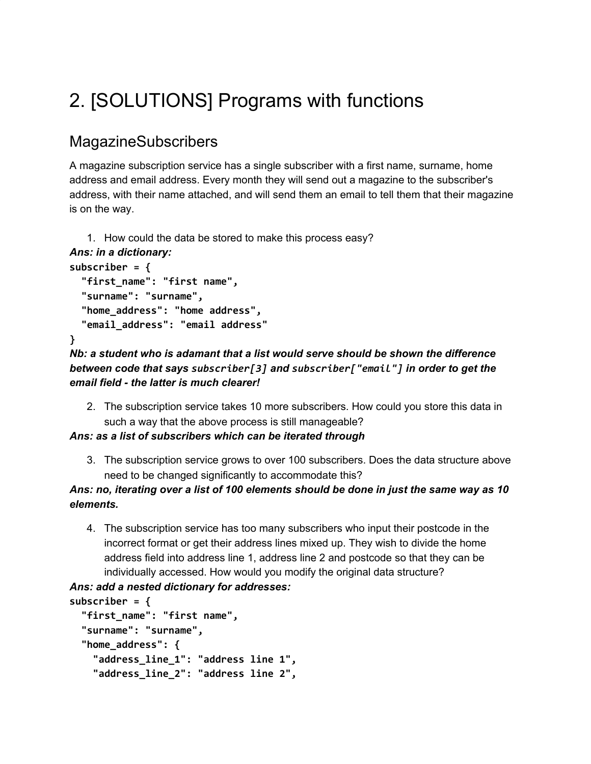# 2. [SOLUTIONS] Programs with functions

# MagazineSubscribers

A magazine subscription service has a single subscriber with a first name, surname, home address and email address. Every month they will send out a magazine to the subscriber's address, with their name attached, and will send them an email to tell them that their magazine is on the way.

```
1. How could the data be stored to make this process easy?
Ans: in a dictionary:
subscriber = {
  "first_name": "first name",
  "surname": "surname",
  "home_address": "home address",
  "email_address": "email address"
}
```
*Nb: a student who is adamant that a list would serve should be shown the difference between code that says subscriber[3] and subscriber["email"] in order to get the email field - the latter is much clearer!*

2. The subscription service takes 10 more subscribers. How could you store this data in such a way that the above process is still manageable?

### *Ans: as a list of subscribers which can be iterated through*

3. The subscription service grows to over 100 subscribers. Does the data structure above need to be changed significantly to accommodate this?

### *Ans: no, iterating over a list of 100 elements should be done in just the same way as 10 elements.*

4. The subscription service has too many subscribers who input their postcode in the incorrect format or get their address lines mixed up. They wish to divide the home address field into address line 1, address line 2 and postcode so that they can be individually accessed. How would you modify the original data structure?

### *Ans: add a nested dictionary for addresses:*

```
subscriber = {
  "first_name": "first name",
  "surname": "surname",
  "home_address": {
    "address_line_1": "address line 1",
    "address_line_2": "address line 2",
```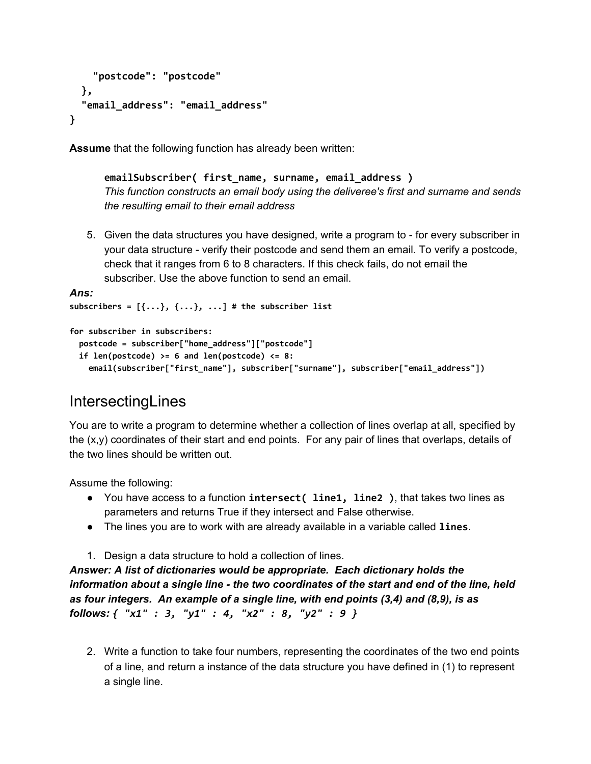```
"postcode": "postcode"
 },
  "email_address": "email_address"
}
```
**Assume** that the following function has already been written:

**emailSubscriber( first\_name, surname, email\_address )** *This function constructs an email body using the deliveree's first and surname and sends the resulting email to their email address*

5. Given the data structures you have designed, write a program to - for every subscriber in your data structure - verify their postcode and send them an email. To verify a postcode, check that it ranges from 6 to 8 characters. If this check fails, do not email the subscriber. Use the above function to send an email.

```
Ans:
subscribers = [{...}, {...}, ...] # the subscriber list
```
**for subscriber in subscribers:**

```
 postcode = subscriber["home_address"]["postcode"]
 if len(postcode) >= 6 and len(postcode) <= 8:
   email(subscriber["first_name"], subscriber["surname"], subscriber["email_address"])
```
# **IntersectingLines**

You are to write a program to determine whether a collection of lines overlap at all, specified by the (x,y) coordinates of their start and end points. For any pair of lines that overlaps, details of the two lines should be written out.

Assume the following:

- You have access to a function **intersect( line1, line2 )**, that takes two lines as parameters and returns True if they intersect and False otherwise.
- The lines you are to work with are already available in a variable called **lines**.
- 1. Design a data structure to hold a collection of lines.

*Answer: A list of dictionaries would be appropriate. Each dictionary holds the information about a single line - the two coordinates of the start and end of the line, held as four integers. An example of a single line, with end points (3,4) and (8,9), is as follows: { "x1" : 3, "y1" : 4, "x2" : 8, "y2" : 9 }*

2. Write a function to take four numbers, representing the coordinates of the two end points of a line, and return a instance of the data structure you have defined in (1) to represent a single line.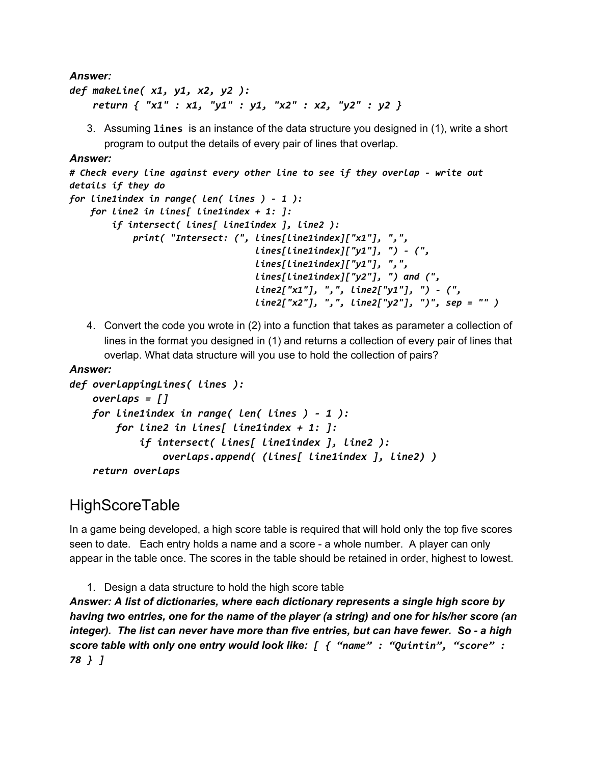*Answer:*

```
def makeLine( x1, y1, x2, y2 ):
    return { "x1" : x1, "y1" : y1, "x2" : x2, "y2" : y2 }
```
3. Assuming **lines** is an instance of the data structure you designed in (1), write a short program to output the details of every pair of lines that overlap.

#### *Answer:*

```
# Check every line against every other line to see if they overlap - write out
details if they do
for line1index in range( len( lines ) - 1 ):
    for line2 in lines[ line1index + 1: ]:
        if intersect( lines[ line1index ], line2 ):
            print( "Intersect: (", lines[line1index]["x1"], ",",
                                   lines[line1index]["y1"], ") - (",
                                   lines[line1index]["y1"], ",",
                                   lines[line1index]["y2"], ") and (",
                                   line2["x1"], ",", line2["y1"], ") - (",
                                   line2["x2"], ",", line2["y2"], ")", sep = "" )
```
4. Convert the code you wrote in (2) into a function that takes as parameter a collection of lines in the format you designed in (1) and returns a collection of every pair of lines that overlap. What data structure will you use to hold the collection of pairs?

### *Answer:*

```
def overlappingLines( lines ):
    overlaps = []
   for line1index in range( len( lines ) - 1 ):
        for line2 in lines[ line1index + 1: ]:
            if intersect( lines[ line1index ], line2 ):
                overlaps.append( (lines[ line1index ], line2) )
    return overlaps
```
# **HighScoreTable**

In a game being developed, a high score table is required that will hold only the top five scores seen to date. Each entry holds a name and a score - a whole number. A player can only appear in the table once. The scores in the table should be retained in order, highest to lowest.

1. Design a data structure to hold the high score table *Answer: A list of dictionaries, where each dictionary represents a single high score by having two entries, one for the name of the player (a string) and one for his/her score (an integer). The list can never have more than five entries, but can have fewer. So - a high score table with only one entry would look like: [ { "name" : "Quintin", "score" : 78 } ]*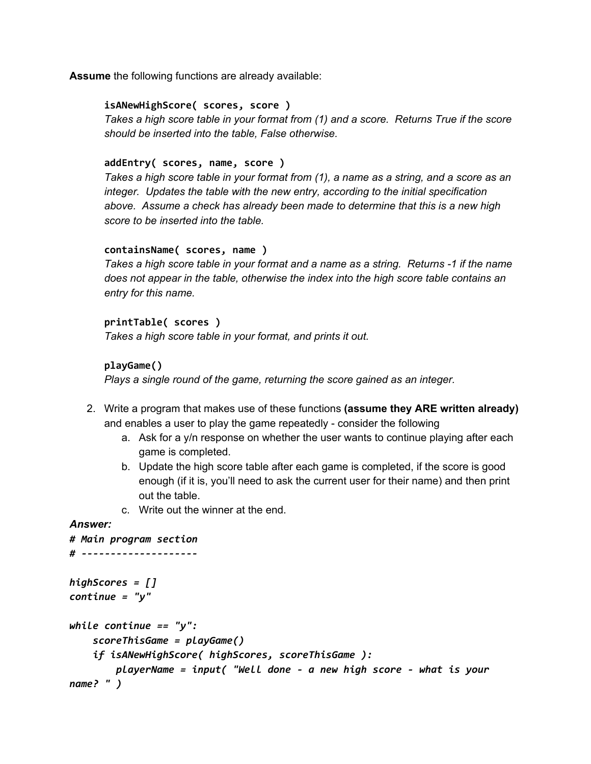**Assume** the following functions are already available:

#### **isANewHighScore( scores, score )**

*Takes a high score table in your format from (1) and a score. Returns True if the score should be inserted into the table, False otherwise.*

#### **addEntry( scores, name, score )**

Takes a high score table in your format from (1), a name as a string, and a score as an *integer. Updates the table with the new entry, according to the initial specification above. Assume a check has already been made to determine that this is a new high score to be inserted into the table.*

#### **containsName( scores, name )**

*Takes a high score table in your format and a name as a string. Returns -1 if the name does not appear in the table, otherwise the index into the high score table contains an entry for this name.*

#### **printTable( scores )**

*Takes a high score table in your format, and prints it out.*

#### **playGame()**

*Plays a single round of the game, returning the score gained as an integer.*

- 2. Write a program that makes use of these functions **(assume they ARE written already)** and enables a user to play the game repeatedly - consider the following
	- a. Ask for a  $y/n$  response on whether the user wants to continue playing after each game is completed.
	- b. Update the high score table after each game is completed, if the score is good enough (if it is, you'll need to ask the current user for their name) and then print out the table.
	- c. Write out the winner at the end.

#### *Answer:*

```
# Main program section
# --------------------
highScores = []
continue = "y"
while continue == "y":
    scoreThisGame = playGame()
    if isANewHighScore( highScores, scoreThisGame ):
       playerName = input( "Well done - a new high score - what is your
name? " )
```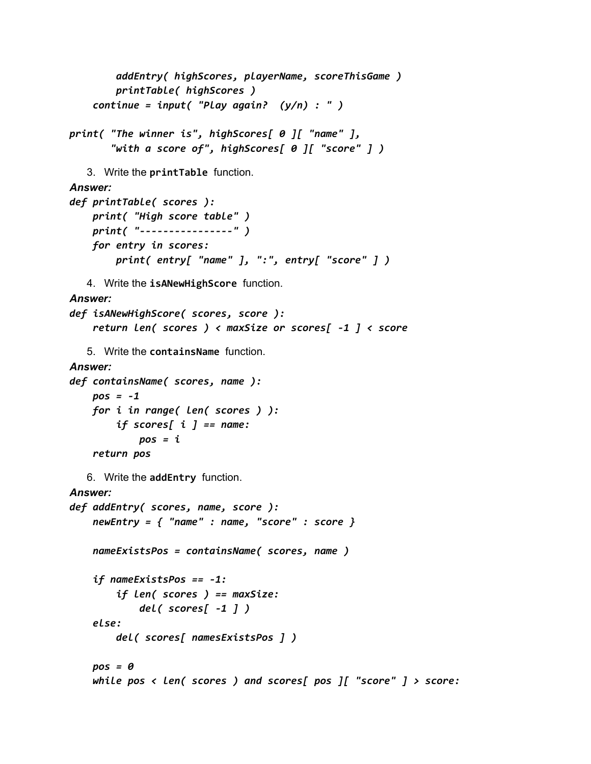```
addEntry( highScores, playerName, scoreThisGame )
        printTable( highScores )
    continue = input( "Play again? (y/n) : " )
print( "The winner is", highScores[ 0 ][ "name" ],
       "with a score of", highScores[ 0 ][ "score" ] )
   3. Write the printTable function.
Answer:
def printTable( scores ):
    print( "High score table" )
    print( "----------------" )
    for entry in scores:
        print( entry[ "name" ], ":", entry[ "score" ] )
   4. Write the isANewHighScore function.
Answer:
def isANewHighScore( scores, score ):
    return len( scores ) < maxSize or scores[ -1 ] < score
   5. Write the containsName function.
Answer:
def containsName( scores, name ):
    pos = -1
    for i in range( len( scores ) ):
        if scores[ i ] == name:
            pos = i
    return pos
   6. Write the addEntry function.
Answer:
def addEntry( scores, name, score ):
    newEntry = { "name" : name, "score" : score }
    nameExistsPos = containsName( scores, name )
    if nameExistsPos == -1:
        if len( scores ) == maxSize:
            del( scores[ -1 ] )
    else:
        del( scores[ namesExistsPos ] )
    pos = 0
    while pos < len( scores ) and scores[ pos ][ "score" ] > score:
```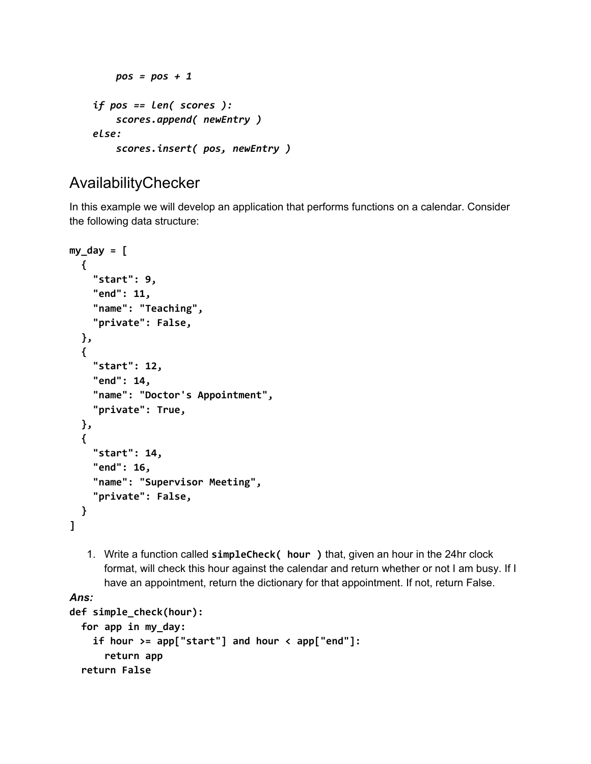```
pos = pos + 1
if pos == len( scores ):
    scores.append( newEntry )
else:
    scores.insert( pos, newEntry )
```
# AvailabilityChecker

In this example we will develop an application that performs functions on a calendar. Consider the following data structure:

```
my_day = [
  {
    "start": 9,
    "end": 11,
    "name": "Teaching",
    "private": False,
  },
  {
    "start": 12,
    "end": 14,
    "name": "Doctor's Appointment",
    "private": True,
  },
  {
    "start": 14,
    "end": 16,
    "name": "Supervisor Meeting",
    "private": False,
  }
]
```
1. Write a function called **simpleCheck( hour )** that, given an hour in the 24hr clock format, will check this hour against the calendar and return whether or not I am busy. If I have an appointment, return the dictionary for that appointment. If not, return False.

### *Ans:*

```
def simple_check(hour):
  for app in my_day:
    if hour >= app["start"] and hour < app["end"]:
      return app
  return False
```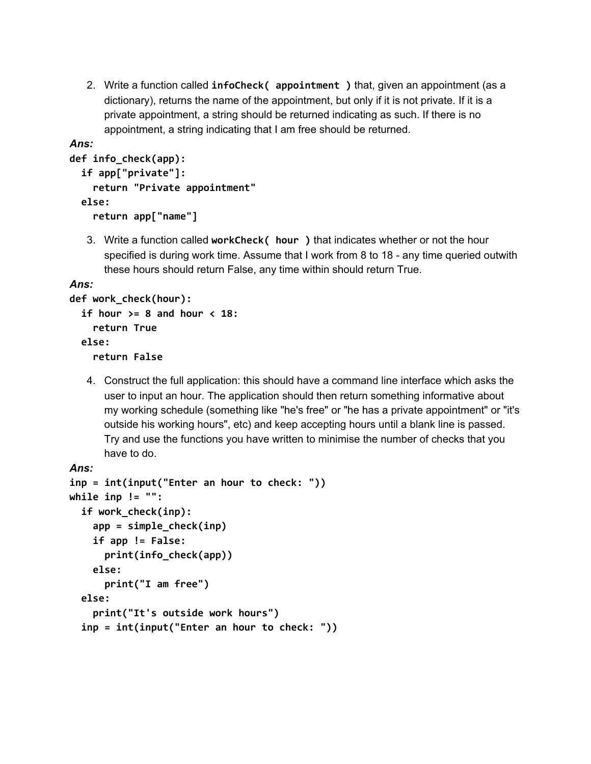2. Write a function called **infoCheck( appointment )** that, given an appointment (as a dictionary), returns the name of the appointment, but only if it is not private. If it is a private appointment, a string should be returned indicating as such. If there is no appointment, a string indicating that I am free should be returned.

```
Ans:
```

```
def info_check(app):
  if app["private"]:
    return "Private appointment"
  else:
    return app["name"]
```
3. Write a function called **workCheck( hour )** that indicates whether or not the hour specified is during work time. Assume that I work from 8 to 18 - any time queried outwith these hours should return False, any time within should return True.

*Ans:*

```
def work_check(hour):
  if hour >= 8 and hour < 18:
    return True
  else:
    return False
```
4. Construct the full application: this should have a command line interface which asks the user to input an hour. The application should then return something informative about my working schedule (something like "he's free" or "he has a private appointment" or "it's outside his working hours", etc) and keep accepting hours until a blank line is passed. Try and use the functions you have written to minimise the number of checks that you have to do.

```
Ans:
inp = int(input("Enter an hour to check: "))
while inp != "":
  if work_check(inp):
    app = simple_check(inp)
    if app != False:
      print(info_check(app))
    else:
      print("I am free")
  else:
    print("It's outside work hours")
  inp = int(input("Enter an hour to check: "))
```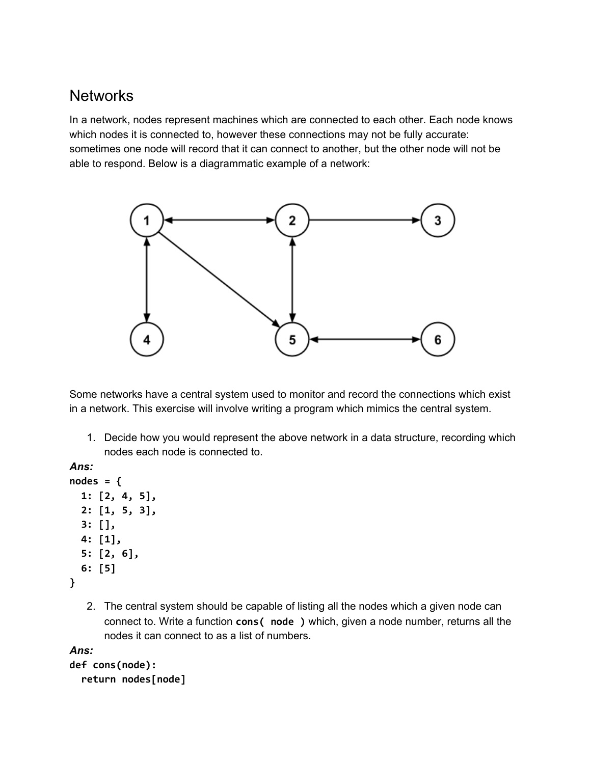# **Networks**

In a network, nodes represent machines which are connected to each other. Each node knows which nodes it is connected to, however these connections may not be fully accurate: sometimes one node will record that it can connect to another, but the other node will not be able to respond. Below is a diagrammatic example of a network:



Some networks have a central system used to monitor and record the connections which exist in a network. This exercise will involve writing a program which mimics the central system.

1. Decide how you would represent the above network in a data structure, recording which nodes each node is connected to.

*Ans:*

```
nodes = {
  1: [2, 4, 5],
  2: [1, 5, 3],
  3: [],
  4: [1],
  5: [2, 6],
  6: [5]
}
```
2. The central system should be capable of listing all the nodes which a given node can connect to. Write a function **cons( node )** which, given a node number, returns all the nodes it can connect to as a list of numbers.

```
Ans:
def cons(node):
  return nodes[node]
```